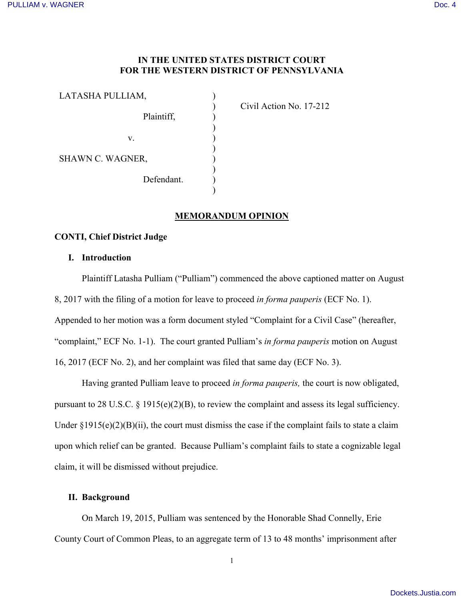# **IN THE UNITED STATES DISTRICT COURT FOR THE WESTERN DISTRICT OF PENNSYLVANIA**

)

) ) ) ) ) ) ) )

| LATASHA PULLIAM, |  |
|------------------|--|
| Plaintiff,       |  |
| V.               |  |
| SHAWN C. WAGNER, |  |
| Defendant.       |  |

) Civil Action No. 17-212

# **MEMORANDUM OPINION**

# **CONTI, Chief District Judge**

### **I. Introduction**

Plaintiff Latasha Pulliam ("Pulliam") commenced the above captioned matter on August 8, 2017 with the filing of a motion for leave to proceed *in forma pauperis* (ECF No. 1). Appended to her motion was a form document styled "Complaint for a Civil Case" (hereafter, "complaint," ECF No. 1-1). The court granted Pulliam's *in forma pauperis* motion on August 16, 2017 (ECF No. 2), and her complaint was filed that same day (ECF No. 3).

Having granted Pulliam leave to proceed *in forma pauperis,* the court is now obligated, pursuant to 28 U.S.C. § 1915(e)(2)(B), to review the complaint and assess its legal sufficiency. Under  $\S 1915(e)(2)(B)(ii)$ , the court must dismiss the case if the complaint fails to state a claim upon which relief can be granted. Because Pulliam's complaint fails to state a cognizable legal claim, it will be dismissed without prejudice.

### **II. Background**

On March 19, 2015, Pulliam was sentenced by the Honorable Shad Connelly, Erie County Court of Common Pleas, to an aggregate term of 13 to 48 months' imprisonment after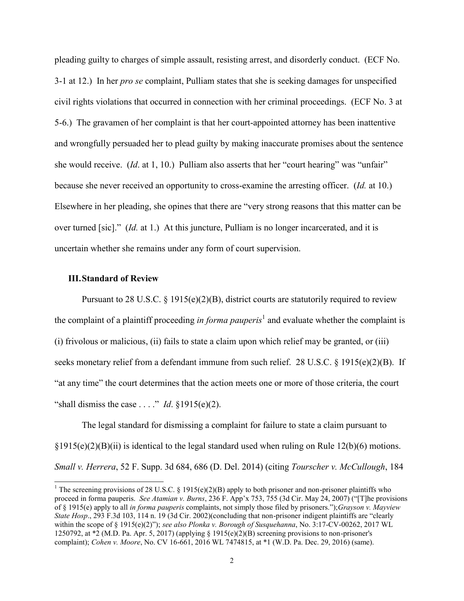pleading guilty to charges of simple assault, resisting arrest, and disorderly conduct. (ECF No. 3-1 at 12.) In her *pro se* complaint, Pulliam states that she is seeking damages for unspecified civil rights violations that occurred in connection with her criminal proceedings. (ECF No. 3 at 5-6.) The gravamen of her complaint is that her court-appointed attorney has been inattentive and wrongfully persuaded her to plead guilty by making inaccurate promises about the sentence she would receive. (*Id*. at 1, 10.) Pulliam also asserts that her "court hearing" was "unfair" because she never received an opportunity to cross-examine the arresting officer. (*Id.* at 10.) Elsewhere in her pleading, she opines that there are "very strong reasons that this matter can be over turned [sic]." (*Id.* at 1.) At this juncture, Pulliam is no longer incarcerated, and it is uncertain whether she remains under any form of court supervision.

### **III.Standard of Review**

 $\overline{a}$ 

Pursuant to 28 U.S.C. § 1915(e)(2)(B), district courts are statutorily required to review the complaint of a plaintiff proceeding *in forma pauperis*<sup>1</sup> and evaluate whether the complaint is (i) frivolous or malicious, (ii) fails to state a claim upon which relief may be granted, or (iii) seeks monetary relief from a defendant immune from such relief. 28 U.S.C.  $\S$  1915(e)(2)(B). If "at any time" the court determines that the action meets one or more of those criteria, the court "shall dismiss the case . . . ." *Id*.  $\S 1915(e)(2)$ .

The legal standard for dismissing a complaint for failure to state a claim pursuant to  $\S1915(e)(2)(B)(ii)$  is identical to the legal standard used when ruling on Rule 12(b)(6) motions. *Small v. Herrera*, 52 F. Supp. 3d 684, 686 (D. Del. 2014) (citing *Tourscher v. McCullough*, 184

<sup>&</sup>lt;sup>1</sup> The screening provisions of 28 U.S.C. § 1915(e)(2)(B) apply to both prisoner and non-prisoner plaintiffs who proceed in forma pauperis. *See Atamian v. Burns*, 236 F. App'x 753, 755 (3d Cir. May 24, 2007) ("[T]he provisions of § 1915(e) apply to all *in forma pauperis* complaints, not simply those filed by prisoners.");*Grayson v. Mayview State Hosp*., 293 F.3d 103, 114 n. 19 (3d Cir. 2002)(concluding that non-prisoner indigent plaintiffs are "clearly within the scope of § 1915(e)(2)"); *see also Plonka v. Borough of Susquehanna*, No. 3:17-CV-00262, 2017 WL 1250792, at  $*2$  (M.D. Pa. Apr. 5, 2017) (applying § 1915(e)(2)(B) screening provisions to non-prisoner's complaint); *Cohen v. Moore*, No. CV 16-661, 2016 WL 7474815, at \*1 (W.D. Pa. Dec. 29, 2016) (same).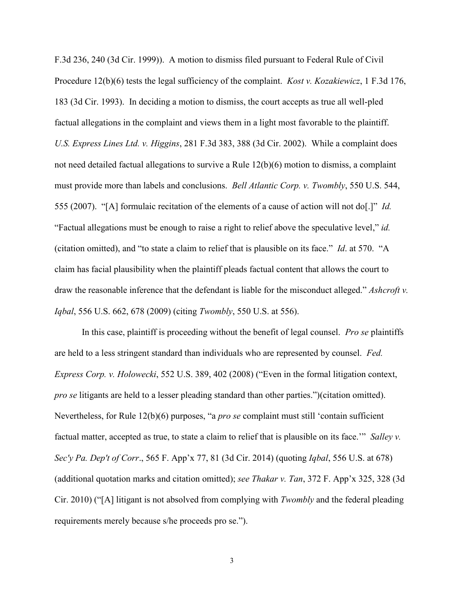F.3d 236, 240 (3d Cir. 1999)). A motion to dismiss filed pursuant to Federal Rule of Civil Procedure 12(b)(6) tests the legal sufficiency of the complaint. *Kost v. Kozakiewicz*, 1 F.3d 176, 183 (3d Cir. 1993). In deciding a motion to dismiss, the court accepts as true all well-pled factual allegations in the complaint and views them in a light most favorable to the plaintiff. *U.S. Express Lines Ltd. v. Higgins*, 281 F.3d 383, 388 (3d Cir. 2002). While a complaint does not need detailed factual allegations to survive a Rule 12(b)(6) motion to dismiss, a complaint must provide more than labels and conclusions. *Bell Atlantic Corp. v. Twombly*, 550 U.S. 544, 555 (2007). "[A] formulaic recitation of the elements of a cause of action will not do[.]" *Id.* "Factual allegations must be enough to raise a right to relief above the speculative level," *id.* (citation omitted), and "to state a claim to relief that is plausible on its face." *Id*. at 570. "A claim has facial plausibility when the plaintiff pleads factual content that allows the court to draw the reasonable inference that the defendant is liable for the misconduct alleged." *Ashcroft v. Iqbal*, 556 U.S. 662, 678 (2009) (citing *Twombly*, 550 U.S. at 556).

In this case, plaintiff is proceeding without the benefit of legal counsel. *Pro se* plaintiffs are held to a less stringent standard than individuals who are represented by counsel. *Fed. Express Corp. v. Holowecki*, 552 U.S. 389, 402 (2008) ("Even in the formal litigation context, *pro se* litigants are held to a lesser pleading standard than other parties.")(citation omitted). Nevertheless, for Rule 12(b)(6) purposes, "a *pro se* complaint must still 'contain sufficient factual matter, accepted as true, to state a claim to relief that is plausible on its face.'" *Salley v. Sec'y Pa. Dep't of Corr*., 565 F. App'x 77, 81 (3d Cir. 2014) (quoting *Iqbal*, 556 U.S. at 678) (additional quotation marks and citation omitted); *see Thakar v. Tan*, 372 F. App'x 325, 328 (3d Cir. 2010) ("[A] litigant is not absolved from complying with *Twombly* and the federal pleading requirements merely because s/he proceeds pro se.").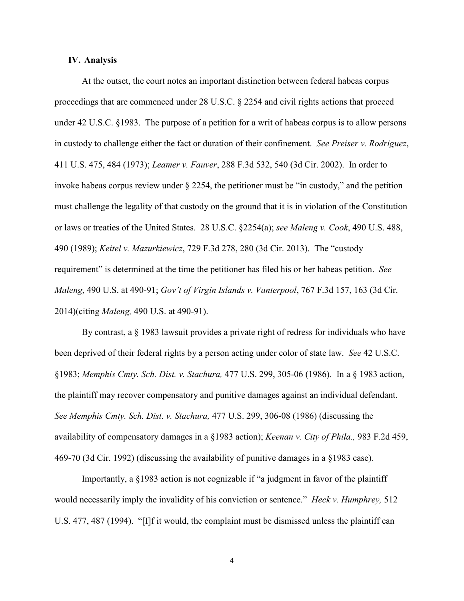### **IV. Analysis**

At the outset, the court notes an important distinction between federal habeas corpus proceedings that are commenced under 28 U.S.C. § 2254 and civil rights actions that proceed under 42 U.S.C. §1983. The purpose of a petition for a writ of habeas corpus is to allow persons in custody to challenge either the fact or duration of their confinement. *See Preiser v. Rodriguez*, 411 U.S. 475, 484 (1973); *Leamer v. Fauver*, 288 F.3d 532, 540 (3d Cir. 2002). In order to invoke habeas corpus review under § 2254, the petitioner must be "in custody," and the petition must challenge the legality of that custody on the ground that it is in violation of the Constitution or laws or treaties of the United States. 28 U.S.C. §2254(a); *see Maleng v. Cook*, 490 U.S. 488, 490 (1989); *Keitel v. Mazurkiewicz*, 729 F.3d 278, 280 (3d Cir. 2013). The "custody requirement" is determined at the time the petitioner has filed his or her habeas petition. *See Maleng*, 490 U.S. at 490-91; *Gov't of Virgin Islands v. Vanterpool*, 767 F.3d 157, 163 (3d Cir. 2014)(citing *Maleng,* 490 U.S. at 490-91).

By contrast, a § 1983 lawsuit provides a private right of redress for individuals who have been deprived of their federal rights by a person acting under color of state law. *See* 42 U.S.C. §1983; *Memphis Cmty. Sch. Dist. v. Stachura,* 477 U.S. 299, 305-06 (1986). In a § 1983 action, the plaintiff may recover compensatory and punitive damages against an individual defendant. *See Memphis Cmty. Sch. Dist. v. Stachura,* 477 U.S. 299, 306-08 (1986) (discussing the availability of compensatory damages in a §1983 action); *Keenan v. City of Phila.,* 983 F.2d 459, 469-70 (3d Cir. 1992) (discussing the availability of punitive damages in a §1983 case).

Importantly, a §1983 action is not cognizable if "a judgment in favor of the plaintiff would necessarily imply the invalidity of his conviction or sentence." *Heck v. Humphrey,* 512 U.S. 477, 487 (1994). "[I]f it would, the complaint must be dismissed unless the plaintiff can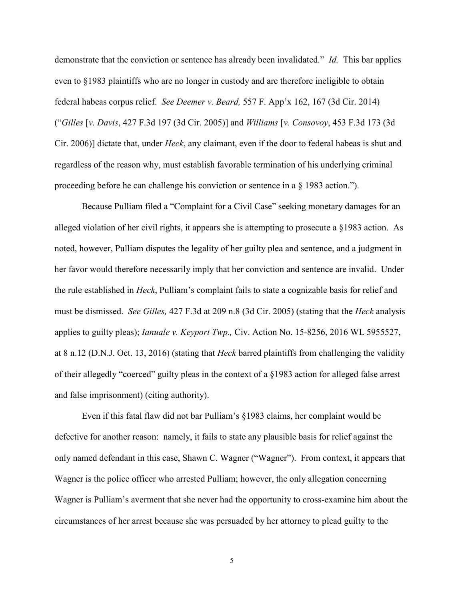demonstrate that the conviction or sentence has already been invalidated." *Id.* This bar applies even to §1983 plaintiffs who are no longer in custody and are therefore ineligible to obtain federal habeas corpus relief. *See Deemer v. Beard,* 557 F. App'x 162, 167 (3d Cir. 2014) ("*Gilles* [*v. Davis*, 427 F.3d 197 (3d Cir. 2005)] and *Williams* [*v. Consovoy*, 453 F.3d 173 (3d Cir. 2006)] dictate that, under *Heck*, any claimant, even if the door to federal habeas is shut and regardless of the reason why, must establish favorable termination of his underlying criminal proceeding before he can challenge his conviction or sentence in a § 1983 action.").

Because Pulliam filed a "Complaint for a Civil Case" seeking monetary damages for an alleged violation of her civil rights, it appears she is attempting to prosecute a §1983 action. As noted, however, Pulliam disputes the legality of her guilty plea and sentence, and a judgment in her favor would therefore necessarily imply that her conviction and sentence are invalid. Under the rule established in *Heck*, Pulliam's complaint fails to state a cognizable basis for relief and must be dismissed. *See Gilles,* 427 F.3d at 209 n.8 (3d Cir. 2005) (stating that the *Heck* analysis applies to guilty pleas); *Ianuale v. Keyport Twp.,* Civ. Action No. 15-8256, 2016 WL 5955527, at 8 n.12 (D.N.J. Oct. 13, 2016) (stating that *Heck* barred plaintiffs from challenging the validity of their allegedly "coerced" guilty pleas in the context of a §1983 action for alleged false arrest and false imprisonment) (citing authority).

Even if this fatal flaw did not bar Pulliam's §1983 claims, her complaint would be defective for another reason: namely, it fails to state any plausible basis for relief against the only named defendant in this case, Shawn C. Wagner ("Wagner"). From context, it appears that Wagner is the police officer who arrested Pulliam; however, the only allegation concerning Wagner is Pulliam's averment that she never had the opportunity to cross-examine him about the circumstances of her arrest because she was persuaded by her attorney to plead guilty to the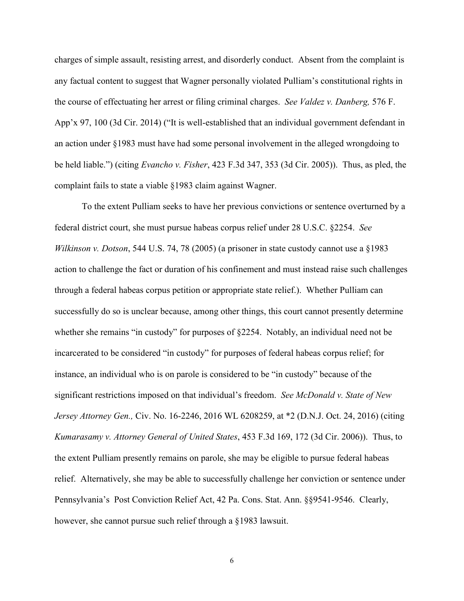charges of simple assault, resisting arrest, and disorderly conduct. Absent from the complaint is any factual content to suggest that Wagner personally violated Pulliam's constitutional rights in the course of effectuating her arrest or filing criminal charges. *See Valdez v. Danberg,* 576 F. App'x 97, 100 (3d Cir. 2014) ("It is well-established that an individual government defendant in an action under §1983 must have had some personal involvement in the alleged wrongdoing to be held liable.") (citing *Evancho v. Fisher*, 423 F.3d 347, 353 (3d Cir. 2005)). Thus, as pled, the complaint fails to state a viable §1983 claim against Wagner.

To the extent Pulliam seeks to have her previous convictions or sentence overturned by a federal district court, she must pursue habeas corpus relief under 28 U.S.C. §2254. *See Wilkinson v. Dotson*, 544 U.S. 74, 78 (2005) (a prisoner in state custody cannot use a §1983 action to challenge the fact or duration of his confinement and must instead raise such challenges through a federal habeas corpus petition or appropriate state relief.). Whether Pulliam can successfully do so is unclear because, among other things, this court cannot presently determine whether she remains "in custody" for purposes of §2254. Notably, an individual need not be incarcerated to be considered "in custody" for purposes of federal habeas corpus relief; for instance, an individual who is on parole is considered to be "in custody" because of the significant restrictions imposed on that individual's freedom. *See McDonald v. State of New Jersey Attorney Gen.,* Civ. No. 16-2246, 2016 WL 6208259, at \*2 (D.N.J. Oct. 24, 2016) (citing *Kumarasamy v. Attorney General of United States*, 453 F.3d 169, 172 (3d Cir. 2006)). Thus, to the extent Pulliam presently remains on parole, she may be eligible to pursue federal habeas relief. Alternatively, she may be able to successfully challenge her conviction or sentence under Pennsylvania's Post Conviction Relief Act, 42 Pa. Cons. Stat. Ann. §§9541-9546. Clearly, however, she cannot pursue such relief through a §1983 lawsuit.